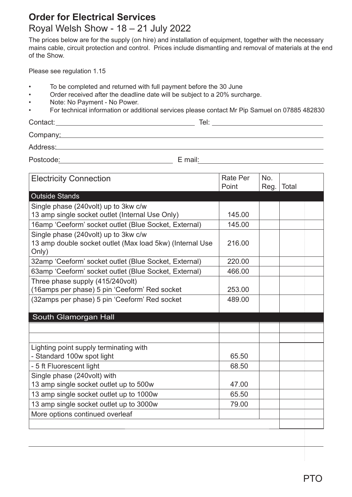## **Order for Electrical Services** Royal Welsh Show - 18 – 21 July 2022

The prices below are for the supply (on hire) and installation of equipment, together with the necessary mains cable, circuit protection and control. Prices include dismantling and removal of materials at the end of the Show.

Please see regulation 1.15

- To be completed and returned with full payment before the 30 June
- Order received after the deadline date will be subject to a 20% surcharge.
- Note: No Payment No Power.
- For technical information or additional services please contact Mr Pip Samuel on 07885 482830

Contact: Tel:

Company: Company:

Address: Andreas Address: Address: Address: Address: Address: Address: Address: Address: Address: Address: Address: Address: Address: Address: Address: Address: Address: Address: Address: Address: Address: Address: Address

Postcode<u>: E mail:</u> E mail: E mail: E mail: E mail: E mail: E mail: E mail: E mail: E mail: E mail: E mail: E mail: E mail: E mail: E mail: E mail: E mail: E mail: E mail: E mail: E mail: E mail: E mail: E mail: E mail: E

| <b>Electricity Connection</b>                                                                             | <b>Rate Per</b><br>Point | No.<br>Reg. | Total |
|-----------------------------------------------------------------------------------------------------------|--------------------------|-------------|-------|
| <b>Outside Stands</b>                                                                                     |                          |             |       |
| Single phase (240volt) up to 3kw c/w                                                                      |                          |             |       |
| 13 amp single socket outlet (Internal Use Only)                                                           | 145.00                   |             |       |
| 16amp 'Ceeform' socket outlet (Blue Socket, External)                                                     | 145.00                   |             |       |
| Single phase (240volt) up to 3kw c/w<br>13 amp double socket outlet (Max load 5kw) (Internal Use<br>Only) | 216.00                   |             |       |
| 32amp 'Ceeform' socket outlet (Blue Socket, External)                                                     | 220.00                   |             |       |
| 63amp 'Ceeform' socket outlet (Blue Socket, External)                                                     | 466.00                   |             |       |
| Three phase supply (415/240volt)<br>(16amps per phase) 5 pin 'Ceeform' Red socket                         | 253.00                   |             |       |
| (32amps per phase) 5 pin 'Ceeform' Red socket                                                             | 489.00                   |             |       |
| South Glamorgan Hall                                                                                      |                          |             |       |
|                                                                                                           |                          |             |       |
| Lighting point supply terminating with<br>- Standard 100w spot light                                      | 65.50                    |             |       |
| - 5 ft Fluorescent light                                                                                  | 68.50                    |             |       |
| Single phase (240volt) with<br>13 amp single socket outlet up to 500w                                     | 47.00                    |             |       |
| 13 amp single socket outlet up to 1000w                                                                   | 65.50                    |             |       |
| 13 amp single socket outlet up to 3000w                                                                   | 79.00                    |             |       |
| More options continued overleaf                                                                           |                          |             |       |
|                                                                                                           |                          |             |       |